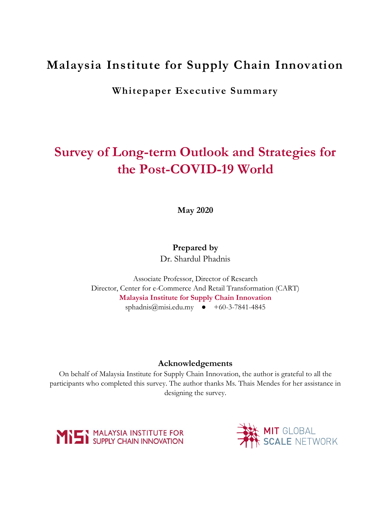## **Malaysia Institute for Supply Chain Innovation**

**Whitepaper Executive Summary**

# **Survey of Long-term Outlook and Strategies for the Post-COVID-19 World**

**May 2020**

### **Prepared by**

Dr. Shardul Phadnis

Associate Professor, Director of Research Director, Center for e-Commerce And Retail Transformation (CART) **Malaysia Institute for Supply Chain Innovation** sphadnis@misi.edu.my  $\bullet +60-3-7841-4845$ 

#### **Acknowledgements**

On behalf of Malaysia Institute for Supply Chain Innovation, the author is grateful to all the participants who completed this survey. The author thanks Ms. Thais Mendes for her assistance in designing the survey.



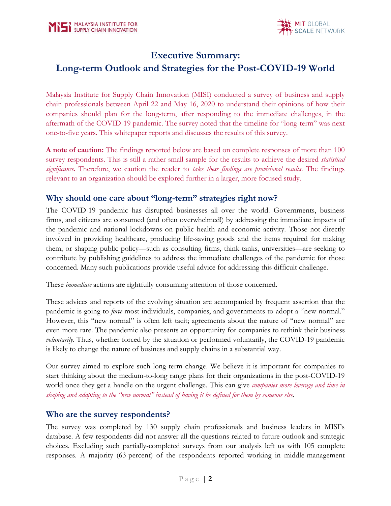

### **Executive Summary:**

### **Long-term Outlook and Strategies for the Post-COVID-19 World**

Malaysia Institute for Supply Chain Innovation (MISI) conducted a survey of business and supply chain professionals between April 22 and May 16, 2020 to understand their opinions of how their companies should plan for the long-term, after responding to the immediate challenges, in the aftermath of the COVID-19 pandemic. The survey noted that the timeline for "long-term" was next one-to-five years. This whitepaper reports and discusses the results of this survey.

**A note of caution:** The findings reported below are based on complete responses of more than 100 survey respondents. This is still a rather small sample for the results to achieve the desired *statistical significance*. Therefore, we caution the reader to *take these findings are provisional results*. The findings relevant to an organization should be explored further in a larger, more focused study.

### **Why should one care about "long-term" strategies right now?**

The COVID-19 pandemic has disrupted businesses all over the world. Governments, business firms, and citizens are consumed (and often overwhelmed!) by addressing the immediate impacts of the pandemic and national lockdowns on public health and economic activity. Those not directly involved in providing healthcare, producing life-saving goods and the items required for making them, or shaping public policy—such as consulting firms, think-tanks, universities—are seeking to contribute by publishing guidelines to address the immediate challenges of the pandemic for those concerned. Many such publications provide useful advice for addressing this difficult challenge.

These *immediate* actions are rightfully consuming attention of those concerned.

These advices and reports of the evolving situation are accompanied by frequent assertion that the pandemic is going to *force* most individuals, companies, and governments to adopt a "new normal." However, this "new normal" is often left tacit; agreements about the nature of "new normal" are even more rare. The pandemic also presents an opportunity for companies to rethink their business *voluntarily*. Thus, whether forced by the situation or performed voluntarily, the COVID-19 pandemic is likely to change the nature of business and supply chains in a substantial way.

Our survey aimed to explore such long-term change. We believe it is important for companies to start thinking about the medium-to-long range plans for their organizations in the post-COVID-19 world once they get a handle on the urgent challenge. This can give *companies more leverage and time in shaping and adapting to the "new normal" instead of having it be defined for them by someone else*.

### **Who are the survey respondents?**

The survey was completed by 130 supply chain professionals and business leaders in MISI's database. A few respondents did not answer all the questions related to future outlook and strategic choices. Excluding such partially-completed surveys from our analysis left us with 105 complete responses. A majority (63-percent) of the respondents reported working in middle-management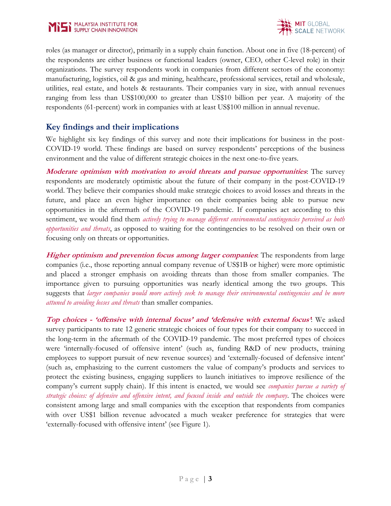

roles (as manager or director), primarily in a supply chain function. About one in five (18-percent) of the respondents are either business or functional leaders (owner, CEO, other C-level role) in their organizations. The survey respondents work in companies from different sectors of the economy: manufacturing, logistics, oil & gas and mining, healthcare, professional services, retail and wholesale, utilities, real estate, and hotels & restaurants. Their companies vary in size, with annual revenues ranging from less than US\$100,000 to greater than US\$10 billion per year. A majority of the respondents (61-percent) work in companies with at least US\$100 million in annual revenue.

### **Key findings and their implications**

We highlight six key findings of this survey and note their implications for business in the post-COVID-19 world. These findings are based on survey respondents' perceptions of the business environment and the value of different strategic choices in the next one-to-five years.

**Moderate optimism with motivation to avoid threats and pursue opportunities**: The survey respondents are moderately optimistic about the future of their company in the post-COVID-19 world. They believe their companies should make strategic choices to avoid losses and threats in the future, and place an even higher importance on their companies being able to pursue new opportunities in the aftermath of the COVID-19 pandemic. If companies act according to this sentiment, we would find them *actively trying to manage different environmental contingencies perceived as both opportunities and threats*, as opposed to waiting for the contingencies to be resolved on their own or focusing only on threats or opportunities.

**Higher optimism and prevention focus among larger companies**: The respondents from large companies (i.e., those reporting annual company revenue of US\$1B or higher) were more optimistic and placed a stronger emphasis on avoiding threats than those from smaller companies. The importance given to pursuing opportunities was nearly identical among the two groups. This suggests that *larger companies would more actively seek to manage their environmental contingencies and be more attuned to avoiding losses and threats* than smaller companies.

**Top choices - 'offensive with internal focus' and 'defensive with external focus'**: We asked survey participants to rate 12 generic strategic choices of four types for their company to succeed in the long-term in the aftermath of the COVID-19 pandemic. The most preferred types of choices were 'internally-focused of offensive intent' (such as, funding R&D of new products, training employees to support pursuit of new revenue sources) and 'externally-focused of defensive intent' (such as, emphasizing to the current customers the value of company's products and services to protect the existing business, engaging suppliers to launch initiatives to improve resilience of the company's current supply chain). If this intent is enacted, we would see *companies pursue a variety of strategic choices: of defensive and offensive intent, and focused inside and outside the company*. The choices were consistent among large and small companies with the exception that respondents from companies with over US\$1 billion revenue advocated a much weaker preference for strategies that were 'externally-focused with offensive intent' (see Figure 1).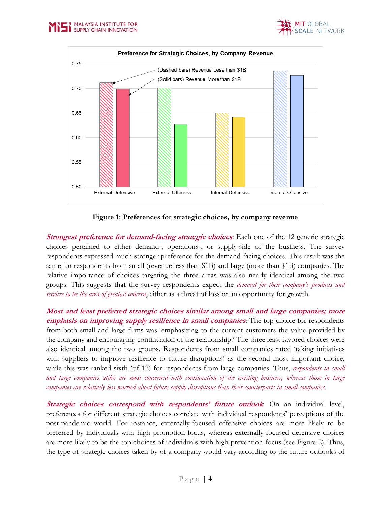

**Figure 1: Preferences for strategic choices, by company revenue**

**Strongest preference for demand-facing strategic choices**: Each one of the 12 generic strategic choices pertained to either demand-, operations-, or supply-side of the business. The survey respondents expressed much stronger preference for the demand-facing choices. This result was the same for respondents from small (revenue less than \$1B) and large (more than \$1B) companies. The relative importance of choices targeting the three areas was also nearly identical among the two groups. This suggests that the survey respondents expect the *demand for their company's products and services to be the area of greatest concern*, either as a threat of loss or an opportunity for growth.

**Most and least preferred strategic choices similar among small and large companies; more emphasis on improving supply resilience in small companies**: The top choice for respondents from both small and large firms was 'emphasizing to the current customers the value provided by the company and encouraging continuation of the relationship.' The three least favored choices were also identical among the two groups. Respondents from small companies rated 'taking initiatives with suppliers to improve resilience to future disruptions' as the second most important choice, while this was ranked sixth (of 12) for respondents from large companies. Thus, *respondents in small and large companies alike are most concerned with continuation of the existing business, whereas those in large companies are relatively less worried about future supply disruptions than their counterparts in small companies*.

**Strategic choices correspond with respondents' future outlook:** On an individual level, preferences for different strategic choices correlate with individual respondents' perceptions of the post-pandemic world. For instance, externally-focused offensive choices are more likely to be preferred by individuals with high promotion-focus, whereas externally-focused defensive choices are more likely to be the top choices of individuals with high prevention-focus (see Figure 2). Thus, the type of strategic choices taken by of a company would vary according to the future outlooks of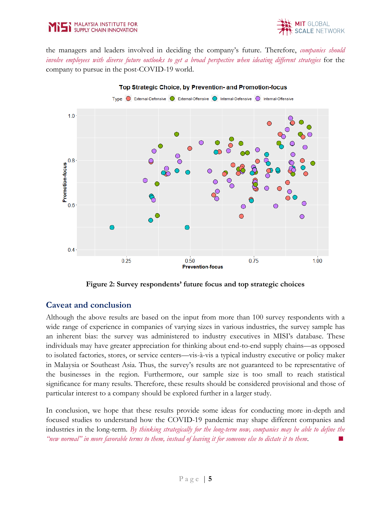



the managers and leaders involved in deciding the company's future. Therefore, *companies should involve employees with diverse future outlooks to get a broad perspective when ideating different strategies* for the company to pursue in the post-COVID-19 world.



Top Strategic Choice, by Prevention- and Promotion-focus

**Figure 2: Survey respondents' future focus and top strategic choices**

#### **Caveat and conclusion**

Although the above results are based on the input from more than 100 survey respondents with a wide range of experience in companies of varying sizes in various industries, the survey sample has an inherent bias: the survey was administered to industry executives in MISI's database. These individuals may have greater appreciation for thinking about end-to-end supply chains—as opposed to isolated factories, stores, or service centers—vis-à-vis a typical industry executive or policy maker in Malaysia or Southeast Asia. Thus, the survey's results are not guaranteed to be representative of the businesses in the region. Furthermore, our sample size is too small to reach statistical significance for many results. Therefore, these results should be considered provisional and those of particular interest to a company should be explored further in a larger study.

In conclusion, we hope that these results provide some ideas for conducting more in-depth and focused studies to understand how the COVID-19 pandemic may shape different companies and industries in the long-term. *By thinking strategically for the long-term now, companies may be able to define the "new normal" in more favorable terms to them, instead of leaving it for someone else to dictate it to them*.